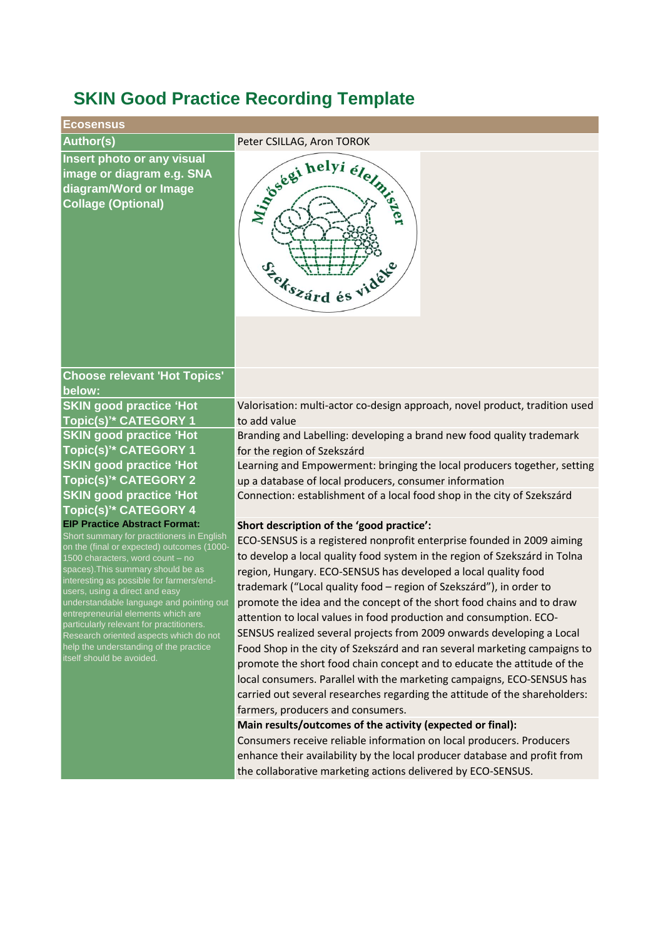## **SKIN Good Practice Recording Template**

## **EcosensusAuthor(s)** Peter CSILLAG, Aron TOROK **Insert photo or any visual**  Joseph helyi élemi **image or diagram e.g. SNA diagram/Word or Image Collage (Optional)** Feltszárd és vidéo **Choose relevant 'Hot Topics' below: SKIN good practice 'Hot**  Valorisation: multi-actor co-design approach, novel product, tradition used **Topic(s)'\* CATEGORY 1** to add value **SKIN good practice 'Hot**  Branding and Labelling: developing a brand new food quality trademark **Topic(s)'\* CATEGORY 1** for the region of Szekszárd **SKIN good practice 'Hot**  Learning and Empowerment: bringing the local producers together, setting **Topic(s)'\* CATEGORY 2** up a database of local producers, consumer information **SKIN good practice 'Hot**  Connection: establishment of a local food shop in the city of Szekszárd **Topic(s)'\* CATEGORY 4 EIP Practice Abstract Format: Short description of the 'good practice':** Short summary for practitioners in English ECO-SENSUS is a registered nonprofit enterprise founded in 2009 aiming on the (final or expected) outcomes (1000 to develop a local quality food system in the region of Szekszárd in Tolna 1500 characters, word count – no spaces).This summary should be as region, Hungary. ECO-SENSUS has developed a local quality food interesting as possible for farmers/endtrademark ("Local quality food – region of Szekszárd"), in order to users, using a direct and easy understandable language and pointing out promote the idea and the concept of the short food chains and to draw entrepreneurial elements which are attention to local values in food production and consumption. ECOparticularly relevant for practitioners. SENSUS realized several projects from 2009 onwards developing a Local Research oriented aspects which do not help the understanding of the practice Food Shop in the city of Szekszárd and ran several marketing campaigns to itself should be avoided. promote the short food chain concept and to educate the attitude of the local consumers. Parallel with the marketing campaigns, ECO-SENSUS has carried out several researches regarding the attitude of the shareholders: farmers, producers and consumers. **Main results/outcomes of the activity (expected or final):**

Consumers receive reliable information on local producers. Producers enhance their availability by the local producer database and profit from the collaborative marketing actions delivered by ECO-SENSUS.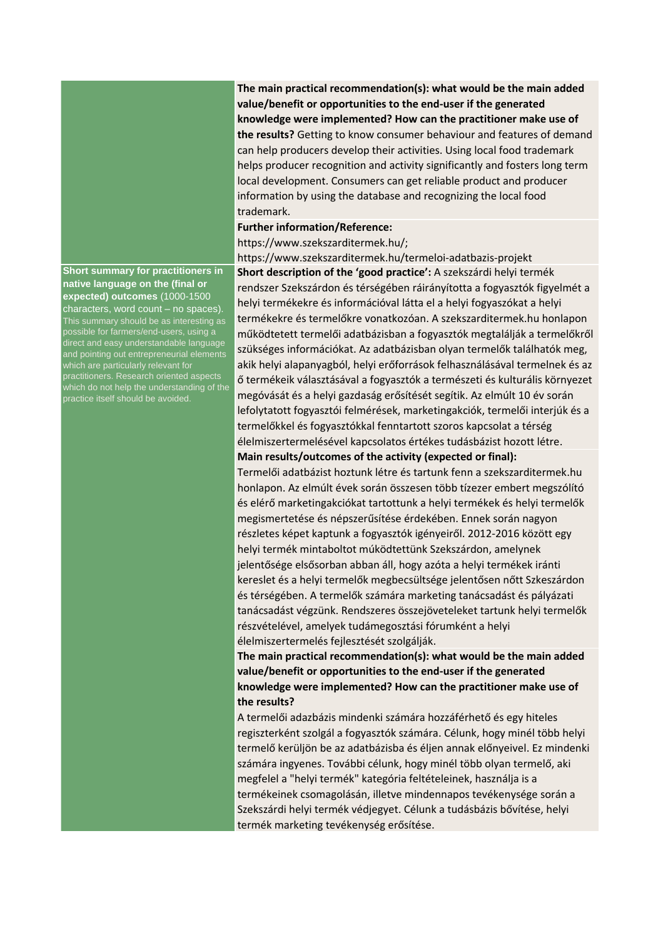**Short summary for practitioners in native language on the (final or expected) outcomes** (1000-1500 characters, word count – no spaces). This summary should be as interesting as possible for farmers/end-users, using a direct and easy understandable language and pointing out entrepreneurial elements which are particularly relevant for practitioners. Research oriented aspects which do not help the understanding of the practice itself should be avoided.

**The main practical recommendation(s): what would be the main added value/benefit or opportunities to the end-user if the generated knowledge were implemented? How can the practitioner make use of the results?** Getting to know consumer behaviour and features of demand can help producers develop their activities. Using local food trademark helps producer recognition and activity significantly and fosters long term local development. Consumers can get reliable product and producer information by using the database and recognizing the local food trademark.

## **Further information/Reference:**

https://www.szekszarditermek.hu/;

https://www.szekszarditermek.hu/termeloi-adatbazis-projekt **Short description of the 'good practice':** A szekszárdi helyi termék rendszer Szekszárdon és térségében ráirányította a fogyasztók figyelmét a helyi termékekre és információval látta el a helyi fogyaszókat a helyi termékekre és termelőkre vonatkozóan. A szekszarditermek.hu honlapon működtetett termelői adatbázisban a fogyasztók megtalálják a termelőkről szükséges információkat. Az adatbázisban olyan termelők találhatók meg, akik helyi alapanyagból, helyi erőforrások felhasználásával termelnek és az ő termékeik választásával a fogyasztók a természeti és kulturális környezet megóvását és a helyi gazdaság erősítését segítik. Az elmúlt 10 év során lefolytatott fogyasztói felmérések, marketingakciók, termelői interjúk és a termelőkkel és fogyasztókkal fenntartott szoros kapcsolat a térség élelmiszertermelésével kapcsolatos értékes tudásbázist hozott létre. **Main results/outcomes of the activity (expected or final):**

Termelői adatbázist hoztunk létre és tartunk fenn a szekszarditermek.hu honlapon. Az elmúlt évek során összesen több tízezer embert megszólító és elérő marketingakciókat tartottunk a helyi termékek és helyi termelők megismertetése és népszerűsítése érdekében. Ennek során nagyon részletes képet kaptunk a fogyasztók igényeiről. 2012-2016 között egy helyi termék mintaboltot múködtettünk Szekszárdon, amelynek jelentősége elsősorban abban áll, hogy azóta a helyi termékek iránti kereslet és a helyi termelők megbecsültsége jelentősen nőtt Szkeszárdon és térségében. A termelők számára marketing tanácsadást és pályázati tanácsadást végzünk. Rendszeres összejöveteleket tartunk helyi termelők részvételével, amelyek tudámegosztási fórumként a helyi élelmiszertermelés fejlesztését szolgálják.

**The main practical recommendation(s): what would be the main added value/benefit or opportunities to the end-user if the generated knowledge were implemented? How can the practitioner make use of the results?**

A termelői adazbázis mindenki számára hozzáférhető és egy hiteles regiszterként szolgál a fogyasztók számára. Célunk, hogy minél több helyi termelő kerüljön be az adatbázisba és éljen annak előnyeivel. Ez mindenki számára ingyenes. További célunk, hogy minél több olyan termelő, aki megfelel a "helyi termék" kategória feltételeinek, használja is a termékeinek csomagolásán, illetve mindennapos tevékenysége során a Szekszárdi helyi termék védjegyet. Célunk a tudásbázis bővítése, helyi termék marketing tevékenység erősítése.